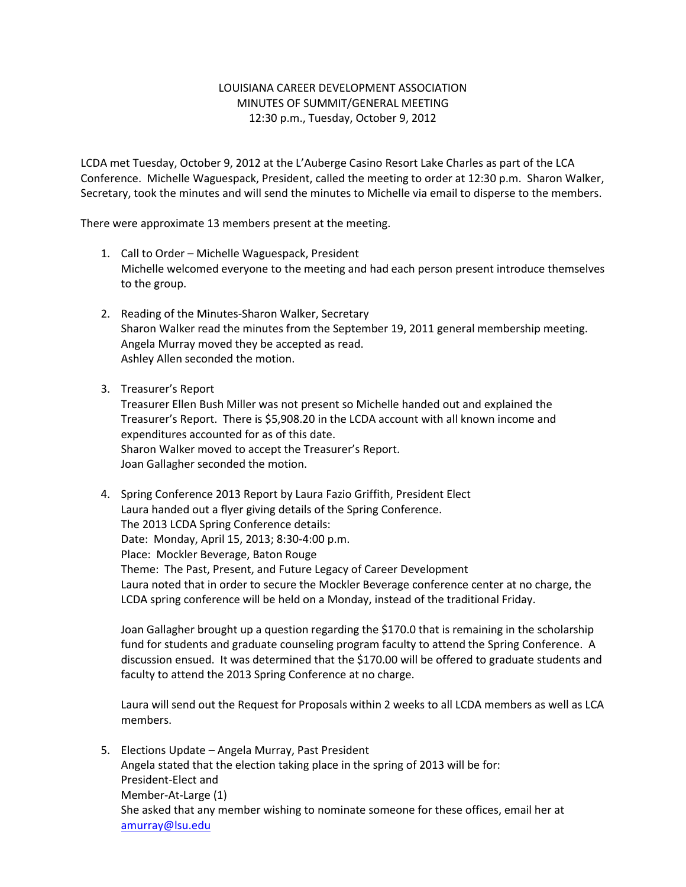## LOUISIANA CAREER DEVELOPMENT ASSOCIATION MINUTES OF SUMMIT/GENERAL MEETING 12:30 p.m., Tuesday, October 9, 2012

LCDA met Tuesday, October 9, 2012 at the L'Auberge Casino Resort Lake Charles as part of the LCA Conference. Michelle Waguespack, President, called the meeting to order at 12:30 p.m. Sharon Walker, Secretary, took the minutes and will send the minutes to Michelle via email to disperse to the members.

There were approximate 13 members present at the meeting.

- 1. Call to Order Michelle Waguespack, President Michelle welcomed everyone to the meeting and had each person present introduce themselves to the group.
- 2. Reading of the Minutes-Sharon Walker, Secretary Sharon Walker read the minutes from the September 19, 2011 general membership meeting. Angela Murray moved they be accepted as read. Ashley Allen seconded the motion.
- 3. Treasurer's Report

Treasurer Ellen Bush Miller was not present so Michelle handed out and explained the Treasurer's Report. There is \$5,908.20 in the LCDA account with all known income and expenditures accounted for as of this date. Sharon Walker moved to accept the Treasurer's Report. Joan Gallagher seconded the motion.

4. Spring Conference 2013 Report by Laura Fazio Griffith, President Elect Laura handed out a flyer giving details of the Spring Conference. The 2013 LCDA Spring Conference details: Date: Monday, April 15, 2013; 8:30-4:00 p.m. Place: Mockler Beverage, Baton Rouge Theme: The Past, Present, and Future Legacy of Career Development Laura noted that in order to secure the Mockler Beverage conference center at no charge, the LCDA spring conference will be held on a Monday, instead of the traditional Friday.

Joan Gallagher brought up a question regarding the \$170.0 that is remaining in the scholarship fund for students and graduate counseling program faculty to attend the Spring Conference. A discussion ensued. It was determined that the \$170.00 will be offered to graduate students and faculty to attend the 2013 Spring Conference at no charge.

Laura will send out the Request for Proposals within 2 weeks to all LCDA members as well as LCA members.

5. Elections Update – Angela Murray, Past President Angela stated that the election taking place in the spring of 2013 will be for: President-Elect and Member-At-Large (1) She asked that any member wishing to nominate someone for these offices, email her at [amurray@lsu.edu](mailto:amurray@lsu.edu)